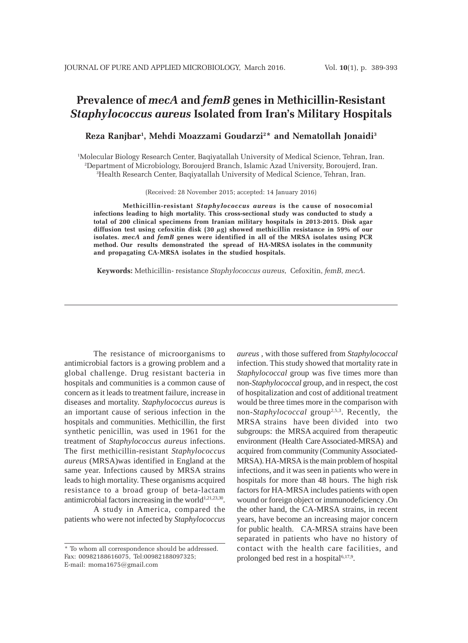# **Prevalence of** *mecA* **and** *femB* **genes in Methicillin-Resistant** *Staphylococcus aureus* **Isolated from Iran's Military Hospitals**

## **Reza Ranjbar1 , Mehdi Moazzami Goudarzi2 \* and Nematollah Jonaidi3**

1 Molecular Biology Research Center, Baqiyatallah University of Medical Science, Tehran, Iran. 2 Department of Microbiology, Boroujerd Branch, Islamic Azad University, Boroujerd, Iran. 3 Health Research Center, Baqiyatallah University of Medical Science, Tehran, Iran.

(Received: 28 November 2015; accepted: 14 January 2016)

**Methicillin-resistant** *Staphylococcus aureus* **is the cause of nosocomial infections leading to high mortality. This cross-sectional study was conducted to study a total of 200 clinical specimens from Iranian military hospitals in 2013-2015. Disk agar diffusion test using cefoxitin disk (30 µg) showed methicillin resistance in 59% of our isolates.** *mecA* **and** *femB* **genes were identified in all of the MRSA isolates using PCR method. Our results demonstrated the spread of HA-MRSA isolates in the community and propagating CA-MRSA isolates in the studied hospitals.**

**Keywords:** Methicillin- resistance *Staphylococcus aureus,* Cefoxitin, *femB*, *mecA*.

The resistance of microorganisms to antimicrobial factors is a growing problem and a global challenge. Drug resistant bacteria in hospitals and communities is a common cause of concern as it leads to treatment failure, increase in diseases and mortality. *Staphylococcus aureus* is an important cause of serious infection in the hospitals and communities. Methicillin, the first synthetic penicillin, was used in 1961 for the treatment of *Staphylococcus aureus* infections. The first methicillin-resistant *Staphylococcus aureus* (MRSA)was identified in England at the same year. Infections caused by MRSA strains leads to high mortality. These organisms acquired resistance to a broad group of beta-lactam antimicrobial factors increasing in the world $1,21,23,30$ .

A study in America, compared the patients who were not infected by *Staphylococcus* *aureus* , with those suffered from *Staphylococcal* infection. This study showed that mortality rate in *Staphylococcal* group was five times more than non-*Staphylococcal* group, and in respect, the cost of hospitalization and cost of additional treatment would be three times more in the comparison with non-*Staphylococcal* group2,5,3. Recently, the MRSA strains have been divided into two subgroups: the MRSA acquired from therapeutic environment (Health Care Associated-MRSA) and acquired from community (Community Associated-MRSA). HA-MRSA is the main problem of hospital infections, and it was seen in patients who were in hospitals for more than 48 hours. The high risk factors for HA-MRSA includes patients with open wound or foreign object or immunodeficiency .On the other hand, the CA-MRSA strains, in recent years, have become an increasing major concern for public health. CA-MRSA strains have been separated in patients who have no history of contact with the health care facilities, and prolonged bed rest in a hospital<sup>6,17,9</sup>.

<sup>\*</sup> To whom all correspondence should be addressed. Fax: 00982188616075, Tel:00982188097325; E-mail: moma1675@gmail.com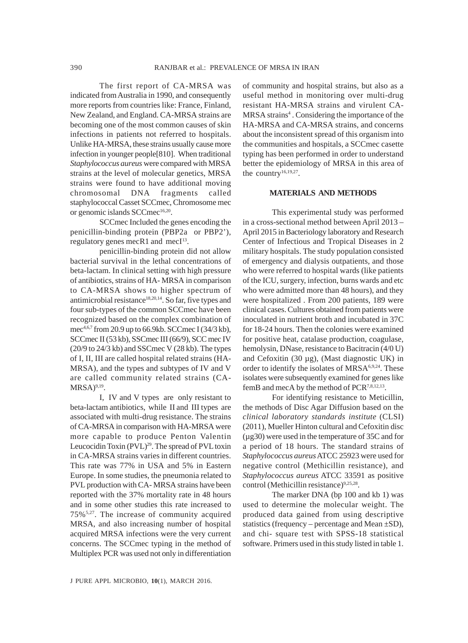The first report of CA-MRSA was indicated from Australia in 1990, and consequently more reports from countries like: France, Finland, New Zealand, and England. CA-MRSA strains are becoming one of the most common causes of skin infections in patients not referred to hospitals. Unlike HA-MRSA, these strains usually cause more infection in younger people[810]. When traditional *Staphylococcus aureus* were compared with MRSA strains at the level of molecular genetics, MRSA strains were found to have additional moving chromosomal DNA fragments called staphylococcal Casset SCCmec, Chromosome mec or genomic islands SCCmec<sup>16,20</sup>.

SCCmec Included the genes encoding the penicillin-binding protein (PBP2a or PBP2'), regulatory genes mecR1 and mec $I<sup>13</sup>$ .

penicillin-binding protein did not allow bacterial survival in the lethal concentrations of beta-lactam. In clinical setting with high pressure of antibiotics, strains of HA- MRSA in comparison to CA-MRSA shows to higher spectrum of antimicrobial resistance<sup>18,20,14</sup>. So far, five types and four sub-types of the common SCCmec have been recognized based on the complex combination of mec4,6,7 from 20.9 up to 66.9kb. SCCmec I (34/3 kb), SCCmec II (53 kb), SSCmec III (66/9), SCC mec IV (20/9 to 24/3 kb) and SSCmec V (28 kb). The types of I, II, III are called hospital related strains (HA-MRSA), and the types and subtypes of IV and V are called community related strains (CA- $MRSA)^{9,19}$ .

I, IV and V types are only resistant to beta-lactam antibiotics, while II and III types are associated with multi-drug resistance. The strains of CA-MRSA in comparison with HA-MRSA were more capable to produce Penton Valentin Leucocidin Toxin (PVL)<sup>29</sup>. The spread of PVL toxin in CA-MRSA strains varies in different countries. This rate was 77% in USA and 5% in Eastern Europe. In some studies, the pneumonia related to PVL production with CA- MRSA strains have been reported with the 37% mortality rate in 48 hours and in some other studies this rate increased to 75%5,27. The increase of community acquired MRSA, and also increasing number of hospital acquired MRSA infections were the very current concerns. The SCCmec typing in the method of Multiplex PCR was used not only in differentiation

of community and hospital strains, but also as a useful method in monitoring over multi-drug resistant HA-MRSA strains and virulent CA-MRSA strains<sup>4</sup>. Considering the importance of the HA-MRSA and CA-MRSA strains, and concerns about the inconsistent spread of this organism into the communities and hospitals, a SCCmec casette typing has been performed in order to understand better the epidemiology of MRSA in this area of the country<sup>16,19,27</sup>.

## **MATERIALS AND METHODS**

This experimental study was performed in a cross-sectional method between April 2013 – April 2015 in Bacteriology laboratory and Research Center of Infectious and Tropical Diseases in 2 military hospitals. The study population consisted of emergency and dialysis outpatients, and those who were referred to hospital wards (like patients of the ICU, surgery, infection, burns wards and etc who were admitted more than 48 hours), and they were hospitalized . From 200 patients, 189 were clinical cases. Cultures obtained from patients were inoculated in nutrient broth and incubated in 37C for 18-24 hours. Then the colonies were examined for positive heat, catalase production, coagulase, hemolysin, DNase, resistance to Bacitracin (4/0 U) and Cefoxitin (30 µg), (Mast diagnostic UK) in order to identify the isolates of MRSA6,9,24. These isolates were subsequently examined for genes like femB and mecA by the method of PCR<sup>7,8,12,13</sup>.

For identifying resistance to Meticillin, the methods of Disc Agar Diffusion based on the *clinical laboratory standards institute* (CLSI) (2011), Mueller Hinton cultural and Cefoxitin disc (µg30) were used in the temperature of 35C and for a period of 18 hours. The standard strains of *Staphylococcus aureus* ATCC 25923 were used for negative control (Methicillin resistance), and *Staphylococcus aureus* ATCC 33591 as positive control (Methicillin resistance)<sup>9,25,28</sup>.

The marker DNA (bp 100 and kb 1) was used to determine the molecular weight. The produced data gained from using descriptive statistics (frequency – percentage and Mean  $\pm SD$ ), and chi- square test with SPSS-18 statistical software. Primers used in this study listed in table 1.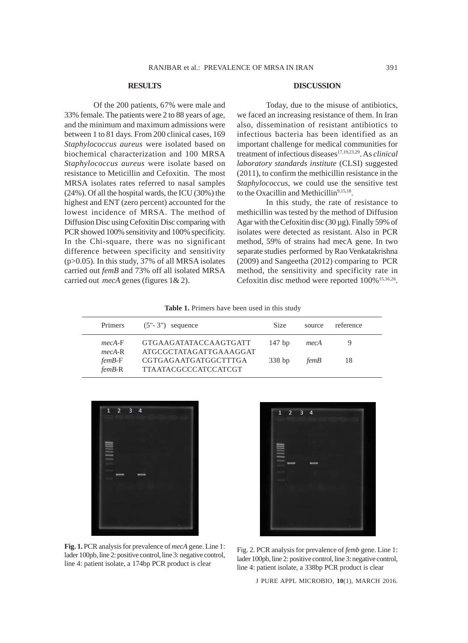## **RESULTS**

Of the 200 patients, 67% were male and 33% female. The patients were 2 to 88 years of age, and the minimum and maximum admissions were between 1 to 81 days. From 200 clinical cases, 169 *Staphylococcus aureus* were isolated based on biochemical characterization and 100 MRSA *Staphylococcus aureus* were isolate based on resistance to Meticillin and Cefoxitin. The most MRSA isolates rates referred to nasal samples (24%). Of all the hospital wards, the ICU (30%) the highest and ENT (zero percent) accounted for the lowest incidence of MRSA. The method of Diffusion Disc using Cefoxitin Disc comparing with PCR showed 100% sensitivity and 100% specificity. In the Chi-square, there was no significant difference between specificity and sensitivity  $(p>0.05)$ . In this study, 37% of all MRSA isolates carried out *femB* and 73% off all isolated MRSA carried out *mecA* genes (figures 1& 2).

#### **DISCUSSION**

Today, due to the misuse of antibiotics, we faced an increasing resistance of them. In Iran also, dissemination of resistant antibiotics to infectious bacteria has been identified as an important challenge for medical communities for treatment of infectious diseases17,19,23,29. As *clinical laboratory standards institute* (CLSI) suggested (2011), to confirm the methicillin resistance in the *Staphylococcus*, we could use the sensitive test to the Oxacillin and Methicillin<sup>9,15,18</sup>.

In this study, the rate of resistance to methicillin was tested by the method of Diffusion Agar with the Cefoxitin disc (30 µg). Finally 59% of isolates were detected as resistant. Also in PCR method, 59% of strains had mecA gene. In two separate studies performed by Rao Venkatakrishna (2009) and Sangeetha (2012) comparing to PCR method, the sensitivity and specificity rate in Cefoxitin disc method were reported  $100\%$ <sup>15,16,26</sup>.

**Table 1.** Primers have been used in this study

| Primers              | $(5"$ - 3") sequence                                | <b>Size</b> | source | reference |
|----------------------|-----------------------------------------------------|-------------|--------|-----------|
| $mecA-F$<br>$mecA-R$ | GTGAAGATATACCAAGTGATT<br>ATGCGCTATAGATTGAAAGGAT     | $147$ bp    | mecA   |           |
| $femB-F$<br>$femB-R$ | CGTGAGAATGATGGCTTTGA<br><b>TTAATACGCCCATCCATCGT</b> | 338bp       | femB   | 18        |



**Fig. 1.** PCR analysis for prevalence of *mecA* gene. Line 1: lader 100pb, line 2: positive control, line 3: negative control, line 4: patient isolate, a 174bp PCR product is clear



Fig. 2. PCR analysis for prevalence of *femb* gene. Line 1: lader 100pb, line 2: positive control, line 3: negative control, line 4: patient isolate, a 338bp PCR product is clear

J PURE APPL MICROBIO*,* **10**(1), MARCH 2016.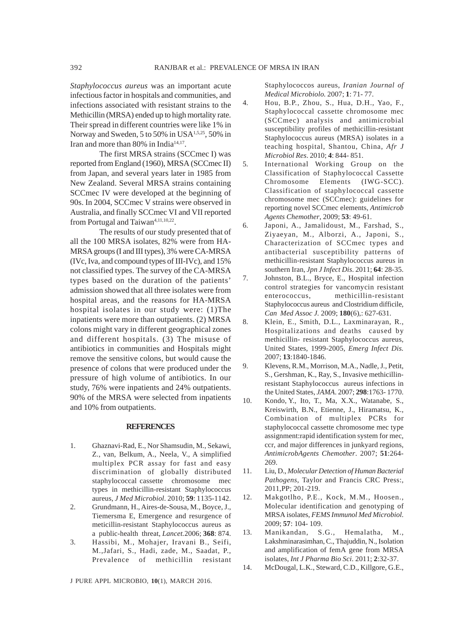*Staphylococcus aureus* was an important acute infectious factor in hospitals and communities, and infections associated with resistant strains to the Methicillin (MRSA) ended up to high mortality rate. Their spread in different countries were like 1% in Norway and Sweden, 5 to 50% in USA<sup>1,5,25</sup>, 50% in Iran and more than 80% in India<sup>14,17</sup>.

The first MRSA strains (SCCmec I) was reported from England (1960), MRSA (SCCmec II) from Japan, and several years later in 1985 from New Zealand. Several MRSA strains containing SCCmec IV were developed at the beginning of 90s. In 2004, SCCmec V strains were observed in Australia, and finally SCCmec VI and VII reported from Portugal and Taiwan<sup>4,11,10,22</sup>.

The results of our study presented that of all the 100 MRSA isolates, 82% were from HA-MRSA groups (I and III types), 3% were CA-MRSA (IVc, Iva, and compound types of III-IVc), and 15% not classified types. The survey of the CA-MRSA types based on the duration of the patients' admission showed that all three isolates were from hospital areas, and the reasons for HA-MRSA hospital isolates in our study were: (1)The inpatients were more than outpatients. (2) MRSA colons might vary in different geographical zones and different hospitals. (3) The misuse of antibiotics in communities and Hospitals might remove the sensitive colons, but would cause the presence of colons that were produced under the pressure of high volume of antibiotics. In our study, 76% were inpatients and 24% outpatients. 90% of the MRSA were selected from inpatients and 10% from outpatients.

#### **REFERENCES**

- 1. Ghaznavi-Rad, E., Nor Shamsudin, M., Sekawi, Z., van, Belkum, A., Neela, V., A simplified multiplex PCR assay for fast and easy discrimination of globally distributed staphylococcal cassette chromosome mec types in methicillin-resistant Staphylococcus aureus, *J Med Microbiol*. 2010; **59**: 1135-1142.
- 2. Grundmann, H., Aires-de-Sousa, M., Boyce, J., Tiemersma E, Emergence and resurgence of meticillin-resistant Staphylococcus aureus as a public-health threat, *Lancet.*2006; **368**: 874.
- 3. Hassibi, M., Mohajer, Iravani B., Seifi, M.,Jafari, S., Hadi, zade, M., Saadat, P., Prevalence of methicillin resistant

J PURE APPL MICROBIO*,* **10**(1), MARCH 2016.

Staphylococcos aureus, *Iranian Journal of Medical Microbiolo.* 2007; **1**: 71- 77.

- 4. Hou, B.P., Zhou, S., Hua, D.H., Yao, F., Staphylococcal cassette chromosome mec (SCCmec) analysis and antimicrobial susceptibility profiles of methicillin-resistant Staphylococcus aureus (MRSA) isolates in a teaching hospital, Shantou, China, *Afr J Microbiol Res*. 2010; **4**: 844- 851.
- 5. International Working Group on the Classification of Staphylococcal Cassette Chromosome Elements (IWG-SCC). Classification of staphylococcal cassette chromosome mec (SCCmec): guidelines for reporting novel SCCmec elements, *Antimicrob Agents Chemother*, 2009; **53**: 49-61.
- 6. Japoni, A., Jamalidoust, M., Farshad, S., Ziyaeyan, M., Alborzi, A., Japoni, S., Characterization of SCCmec types and antibacterial susceptibility patterns of methicillin-resistant Staphylococcus aureus in southern Iran, *Jpn J Infect Dis*. 2011; **64**: 28-35.
- 7. Johnston, B.L., Bryce, E., Hospital infection control strategies for vancomycin resistant enterococcus, methicillin-resistant Staphylococcus aureus and Clostridium difficile, *Can Med Assoc J.* 2009; **180**(6),: 627-631.
- 8. Klein, E., Smith, D.L., Laxminarayan, R., Hospitalizations and deaths caused by methicillin- resistant Staphylococcus aureus, United States, 1999-2005, *Emerg Infect Dis.* 2007; **13**:1840-1846.
- 9. Klevens, R.M., Morrison, M.A., Nadle, J., Petit, S., Gershman, K., Ray, S., Invasive methicillinresistant Staphylococcus aureus infections in the United States, *JAMA*. 2007; **298**:1763- 1770.
- 10. Kondo, Y., Ito, T., Ma, X.X., Watanabe, S., Kreiswirth, B.N., Etienne, J., Hiramatsu, K., Combination of multiplex PCRs for staphylococcal cassette chromosome mec type assignment:rapid identification system for mec, ccr, and major differences in junkyard regions, *AntimicrobAgents Chemother*. 2007; **51**:264- 269.
- 11. Liu, D., *Molecular Detection of Human Bacterial Pathogens*, Taylor and Francis CRC Press:, 2011,PP; 201-219.
- 12. Makgotlho, P.E., Kock, M.M., Hoosen., Molecular identification and genotyping of MRSA isolates, *FEMS Immunol Med Microbiol*. 2009; **57**: 104- 109.
- 13. Manikandan, S.G., Hemalatha, M., Lakshminarasimhan, C., Thajuddin, N., Isolation and amplification of femA gene from MRSA isolates, *Int J Pharma Bio Sci*. 2011; **2**:32-37.
- 14. McDougal, L.K., Steward, C.D., Killgore, G.E.,